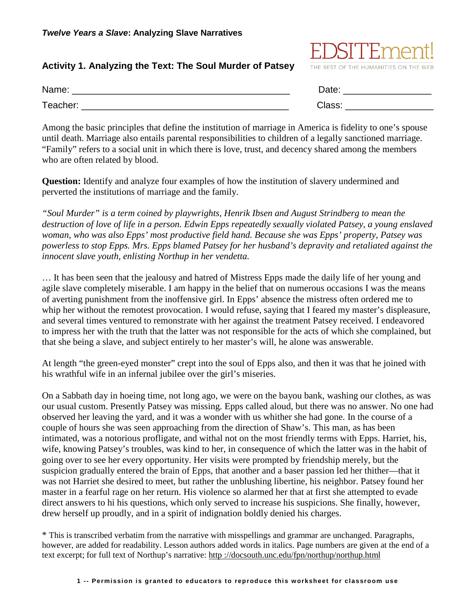## **Activity 1. Analyzing the Text: The Soul Murder of Patsey**



| Name:    | Date:  |
|----------|--------|
| Teacher: | Class. |

Among the basic principles that define the institution of marriage in America is fidelity to one's spouse until death. Marriage also entails parental responsibilities to children of a legally sanctioned marriage. "Family" refers to a social unit in which there is love, trust, and decency shared among the members who are often related by blood.

**Question:** Identify and analyze four examples of how the institution of slavery undermined and perverted the institutions of marriage and the family.

*"Soul Murder" is a term coined by playwrights, Henrik Ibsen and August Strindberg to mean the destruction of love of life in a person. Edwin Epps repeatedly sexually violated Patsey, a young enslaved woman, who was also Epps' most productive field hand. Because she was Epps' property, Patsey was powerless to stop Epps. Mrs. Epps blamed Patsey for her husband's depravity and retaliated against the innocent slave youth, enlisting Northup in her vendetta.*

… It has been seen that the jealousy and hatred of Mistress Epps made the daily life of her young and agile slave completely miserable. I am happy in the belief that on numerous occasions I was the means of averting punishment from the inoffensive girl. In Epps' absence the mistress often ordered me to whip her without the remotest provocation. I would refuse, saying that I feared my master's displeasure, and several times ventured to remonstrate with her against the treatment Patsey received. I endeavored to impress her with the truth that the latter was not responsible for the acts of which she complained, but that she being a slave, and subject entirely to her master's will, he alone was answerable.

At length "the green-eyed monster" crept into the soul of Epps also, and then it was that he joined with his wrathful wife in an infernal jubilee over the girl's miseries.

On a Sabbath day in hoeing time, not long ago, we were on the bayou bank, washing our clothes, as was our usual custom. Presently Patsey was missing. Epps called aloud, but there was no answer. No one had observed her leaving the yard, and it was a wonder with us whither she had gone. In the course of a couple of hours she was seen approaching from the direction of Shaw's. This man, as has been intimated, was a notorious profligate, and withal not on the most friendly terms with Epps. Harriet, his, wife, knowing Patsey's troubles, was kind to her, in consequence of which the latter was in the habit of going over to see her every opportunity. Her visits were prompted by friendship merely, but the suspicion gradually entered the brain of Epps, that another and a baser passion led her thither—that it was not Harriet she desired to meet, but rather the unblushing libertine, his neighbor. Patsey found her master in a fearful rage on her return. His violence so alarmed her that at first she attempted to evade direct answers to hi his questions, which only served to increase his suspicions. She finally, however, drew herself up proudly, and in a spirit of indignation boldly denied his charges.

\* This is transcribed verbatim from the narrative with misspellings and grammar are unchanged. Paragraphs, however, are added for readability. Lesson authors added words in italics. Page numbers are given at the end of a text excerpt; for full text of Northup's narrative: http ://docsouth.unc.edu/fpn/northup/northup.html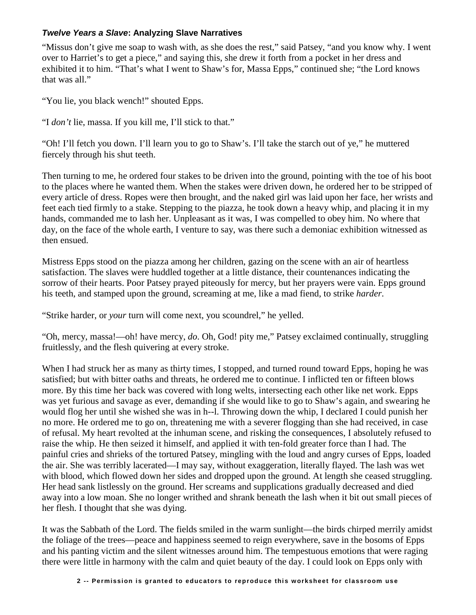## *Twelve Years a Slave***: Analyzing Slave Narratives**

"Missus don't give me soap to wash with, as she does the rest," said Patsey, "and you know why. I went over to Harriet's to get a piece," and saying this, she drew it forth from a pocket in her dress and exhibited it to him. "That's what I went to Shaw's for, Massa Epps," continued she; "the Lord knows that was all."

"You lie, you black wench!" shouted Epps.

"I *don't* lie, massa. If you kill me, I'll stick to that."

"Oh! I'll fetch you down. I'll learn you to go to Shaw's. I'll take the starch out of ye," he muttered fiercely through his shut teeth.

Then turning to me, he ordered four stakes to be driven into the ground, pointing with the toe of his boot to the places where he wanted them. When the stakes were driven down, he ordered her to be stripped of every article of dress. Ropes were then brought, and the naked girl was laid upon her face, her wrists and feet each tied firmly to a stake. Stepping to the piazza, he took down a heavy whip, and placing it in my hands, commanded me to lash her. Unpleasant as it was, I was compelled to obey him. No where that day, on the face of the whole earth, I venture to say, was there such a demoniac exhibition witnessed as then ensued.

Mistress Epps stood on the piazza among her children, gazing on the scene with an air of heartless satisfaction. The slaves were huddled together at a little distance, their countenances indicating the sorrow of their hearts. Poor Patsey prayed piteously for mercy, but her prayers were vain. Epps ground his teeth, and stamped upon the ground, screaming at me, like a mad fiend, to strike *harder*.

"Strike harder, or *your* turn will come next, you scoundrel," he yelled.

"Oh, mercy, massa!—oh! have mercy, *do*. Oh, God! pity me," Patsey exclaimed continually, struggling fruitlessly, and the flesh quivering at every stroke.

When I had struck her as many as thirty times, I stopped, and turned round toward Epps, hoping he was satisfied; but with bitter oaths and threats, he ordered me to continue. I inflicted ten or fifteen blows more. By this time her back was covered with long welts, intersecting each other like net work. Epps was yet furious and savage as ever, demanding if she would like to go to Shaw's again, and swearing he would flog her until she wished she was in h--l. Throwing down the whip, I declared I could punish her no more. He ordered me to go on, threatening me with a severer flogging than she had received, in case of refusal. My heart revolted at the inhuman scene, and risking the consequences, I absolutely refused to raise the whip. He then seized it himself, and applied it with ten-fold greater force than I had. The painful cries and shrieks of the tortured Patsey, mingling with the loud and angry curses of Epps, loaded the air. She was terribly lacerated—I may say, without exaggeration, literally flayed. The lash was wet with blood, which flowed down her sides and dropped upon the ground. At length she ceased struggling. Her head sank listlessly on the ground. Her screams and supplications gradually decreased and died away into a low moan. She no longer writhed and shrank beneath the lash when it bit out small pieces of her flesh. I thought that she was dying.

It was the Sabbath of the Lord. The fields smiled in the warm sunlight—the birds chirped merrily amidst the foliage of the trees—peace and happiness seemed to reign everywhere, save in the bosoms of Epps and his panting victim and the silent witnesses around him. The tempestuous emotions that were raging there were little in harmony with the calm and quiet beauty of the day. I could look on Epps only with